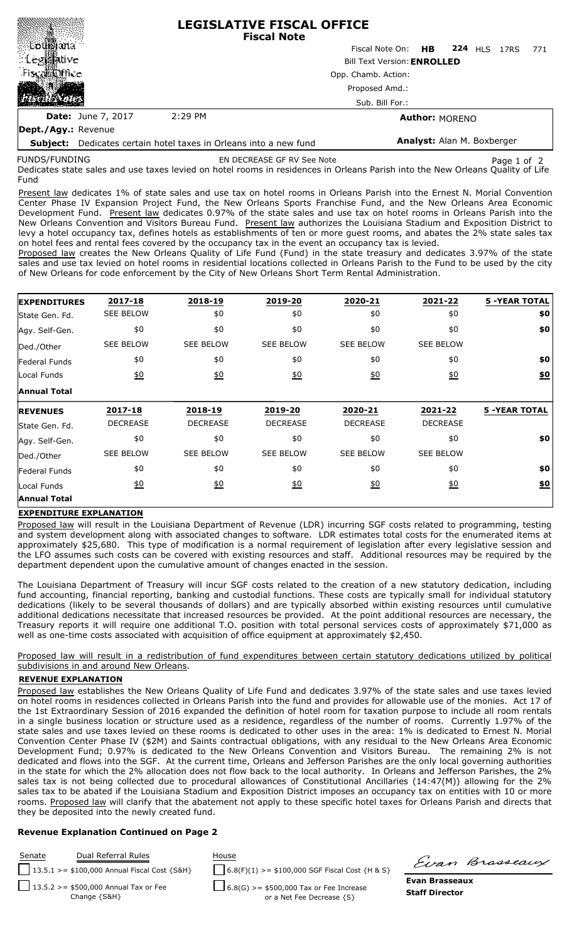| ∭Loti∭ana<br><b>Leg羂tive</b><br>Fiscal office<br><b>MAR</b>              |                           | <b>LEGISLATIVE FISCAL OFFICE</b><br><b>Fiscal Note</b> |                            |                       |  |  |                     |     |  |
|--------------------------------------------------------------------------|---------------------------|--------------------------------------------------------|----------------------------|-----------------------|--|--|---------------------|-----|--|
|                                                                          |                           |                                                        | Fiscal Note On: <b>HB</b>  |                       |  |  | <b>224 HLS 17RS</b> | 771 |  |
|                                                                          |                           | <b>Bill Text Version: ENROLLED</b>                     |                            |                       |  |  |                     |     |  |
|                                                                          |                           | Opp. Chamb. Action:                                    |                            |                       |  |  |                     |     |  |
|                                                                          |                           | Proposed Amd.:                                         |                            |                       |  |  |                     |     |  |
|                                                                          |                           | Sub. Bill For.:                                        |                            |                       |  |  |                     |     |  |
|                                                                          | <b>Date:</b> June 7, 2017 | 2:29 PM                                                |                            | <b>Author: MORENO</b> |  |  |                     |     |  |
| Dept./Agy.: Revenue                                                      |                           |                                                        |                            |                       |  |  |                     |     |  |
| <b>Subject:</b> Dedicates certain hotel taxes in Orleans into a new fund |                           |                                                        | Analyst: Alan M. Boxberger |                       |  |  |                     |     |  |

**Subject:** Dedicates certain hotel taxes in Orleans into a new fund FUNDS/FUNDING

EN DECREASE GF RV See Note **Page 1 of 2** Page 1 of 2

Dedicates state sales and use taxes levied on hotel rooms in residences in Orleans Parish into the New Orleans Quality of Life Fund

Present law dedicates 1% of state sales and use tax on hotel rooms in Orleans Parish into the Ernest N. Morial Convention Center Phase IV Expansion Project Fund, the New Orleans Sports Franchise Fund, and the New Orleans Area Economic Development Fund. Present law dedicates 0.97% of the state sales and use tax on hotel rooms in Orleans Parish into the New Orleans Convention and Visitors Bureau Fund. Present law authorizes the Louisiana Stadium and Exposition District to levy a hotel occupancy tax, defines hotels as establishments of ten or more guest rooms, and abates the 2% state sales tax on hotel fees and rental fees covered by the occupancy tax in the event an occupancy tax is levied.

Proposed law creates the New Orleans Quality of Life Fund (Fund) in the state treasury and dedicates 3.97% of the state sales and use tax levied on hotel rooms in residential locations collected in Orleans Parish to the Fund to be used by the city of New Orleans for code enforcement by the City of New Orleans Short Term Rental Administration.

| <b>EXPENDITURES</b>  | 2017-18           | 2018-19          | 2019-20          | 2020-21           | 2021-22          | <b>5 -YEAR TOTAL</b> |
|----------------------|-------------------|------------------|------------------|-------------------|------------------|----------------------|
| State Gen. Fd.       | <b>SEE BELOW</b>  | \$0              | \$0              | \$0               | \$0              | \$0                  |
| Agy. Self-Gen.       | \$0               | \$0              | \$0              | \$0               | \$0              | \$0                  |
| Ded./Other           | <b>SEE BELOW</b>  | <b>SEE BELOW</b> | <b>SEE BELOW</b> | <b>SEE BELOW</b>  | <b>SEE BELOW</b> |                      |
| <b>Federal Funds</b> | \$0               | \$0              | \$0              | \$0               | \$0              | \$0                  |
| Local Funds          | $\underline{\$0}$ | 60               | 60               | $\underline{\$0}$ | $\underline{50}$ | \$0                  |
| <b>Annual Total</b>  |                   |                  |                  |                   |                  |                      |
| <b>REVENUES</b>      | 2017-18           | 2018-19          | 2019-20          | 2020-21           | 2021-22          | <b>5 -YEAR TOTAL</b> |
| State Gen. Fd.       | <b>DECREASE</b>   | <b>DECREASE</b>  | <b>DECREASE</b>  | <b>DECREASE</b>   | <b>DECREASE</b>  |                      |
| Agy. Self-Gen.       | \$0               | \$0              | \$0              | \$0               | \$0              | \$0                  |
| Ded./Other           | <b>SEE BELOW</b>  | <b>SEE BELOW</b> | <b>SEE BELOW</b> | <b>SEE BELOW</b>  | <b>SEE BELOW</b> |                      |
| Federal Funds        | \$0               | \$0              | \$0              | \$0               | \$0              | \$0                  |
| Local Funds          | $\underline{50}$  | 60               | <u>\$0</u>       | 60                | $\underline{50}$ | \$0                  |
|                      |                   |                  |                  |                   |                  |                      |

## **EXPENDITURE EXPLANATION**

Proposed law will result in the Louisiana Department of Revenue (LDR) incurring SGF costs related to programming, testing and system development along with associated changes to software. LDR estimates total costs for the enumerated items at approximately \$25,680. This type of modification is a normal requirement of legislation after every legislative session and the LFO assumes such costs can be covered with existing resources and staff. Additional resources may be required by the department dependent upon the cumulative amount of changes enacted in the session.

The Louisiana Department of Treasury will incur SGF costs related to the creation of a new statutory dedication, including fund accounting, financial reporting, banking and custodial functions. These costs are typically small for individual statutory dedications (likely to be several thousands of dollars) and are typically absorbed within existing resources until cumulative additional dedications necessitate that increased resources be provided. At the point additional resources are necessary, the Treasury reports it will require one additional T.O. position with total personal services costs of approximately \$71,000 as well as one-time costs associated with acquisition of office equipment at approximately \$2,450.

Proposed law will result in a redistribution of fund expenditures between certain statutory dedications utilized by political subdivisions in and around New Orleans.

## **REVENUE EXPLANATION**

Proposed law establishes the New Orleans Quality of Life Fund and dedicates 3.97% of the state sales and use taxes levied on hotel rooms in residences collected in Orleans Parish into the fund and provides for allowable use of the monies. Act 17 of the 1st Extraordinary Session of 2016 expanded the definition of hotel room for taxation purpose to include all room rentals in a single business location or structure used as a residence, regardless of the number of rooms. Currently 1.97% of the state sales and use taxes levied on these rooms is dedicated to other uses in the area: 1% is dedicated to Ernest N. Morial Convention Center Phase IV (\$2M) and Saints contractual obligations, with any residual to the New Orleans Area Economic Development Fund; 0.97% is dedicated to the New Orleans Convention and Visitors Bureau. The remaining 2% is not dedicated and flows into the SGF. At the current time, Orleans and Jefferson Parishes are the only local governing authorities in the state for which the 2% allocation does not flow back to the local authority. In Orleans and Jefferson Parishes, the 2% sales tax is not being collected due to procedural allowances of Constitutional Ancillaries (14:47(M)) allowing for the 2% sales tax to be abated if the Louisiana Stadium and Exposition District imposes an occupancy tax on entities with 10 or more rooms. Proposed law will clarify that the abatement not apply to these specific hotel taxes for Orleans Parish and directs that they be deposited into the newly created fund.

## **Revenue Explanation Continued on Page 2**

**Evan Brasseaux Staff Director** Senate Dual Referral Rules House 13.5.1 >= \$100,000 Annual Fiscal Cost {S&H} 6.8(F)(1) >= \$100,000 SGF Fiscal Cost {H & S} 13.5.2 >= \$500,000 Annual Tax or Fee Change {S&H} 6.8(G) >= \$500,000 Tax or Fee Increase or a Net Fee Decrease {S}

Einn Brasseaux